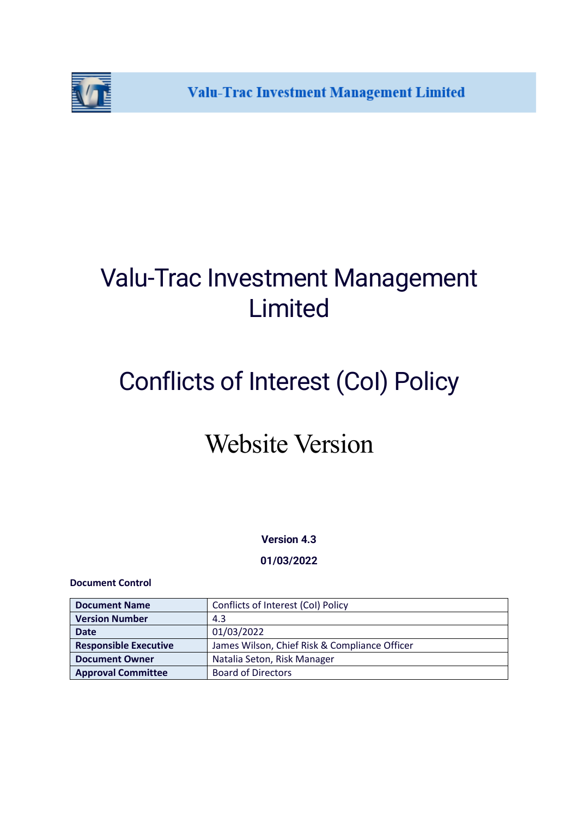

## Valu-Trac Investment Management Limited

# Conflicts of Interest (CoI) Policy

### Website Version

**Version 4.3**

**01/03/2022**

#### **Document Control**

| <b>Document Name</b>         | Conflicts of Interest (Col) Policy            |
|------------------------------|-----------------------------------------------|
| <b>Version Number</b>        | 4.3                                           |
| <b>Date</b>                  | 01/03/2022                                    |
| <b>Responsible Executive</b> | James Wilson, Chief Risk & Compliance Officer |
| <b>Document Owner</b>        | Natalia Seton, Risk Manager                   |
| <b>Approval Committee</b>    | <b>Board of Directors</b>                     |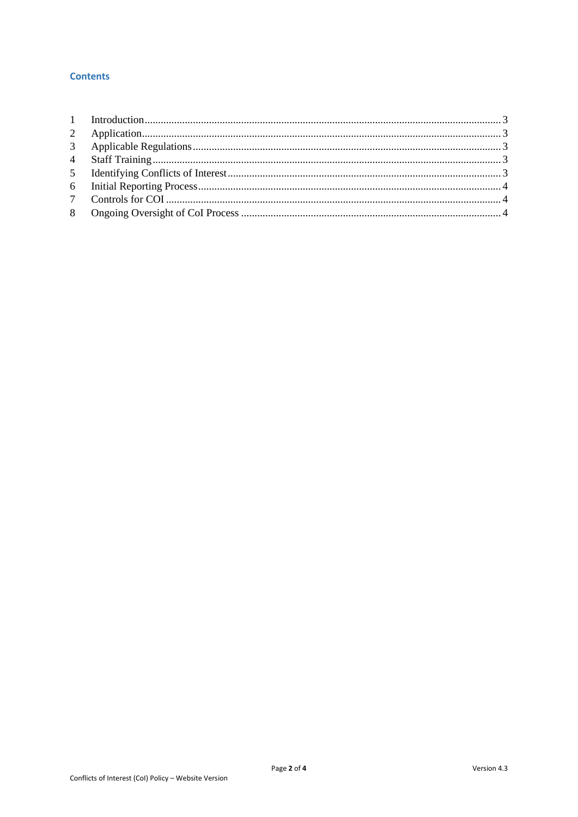#### **Contents**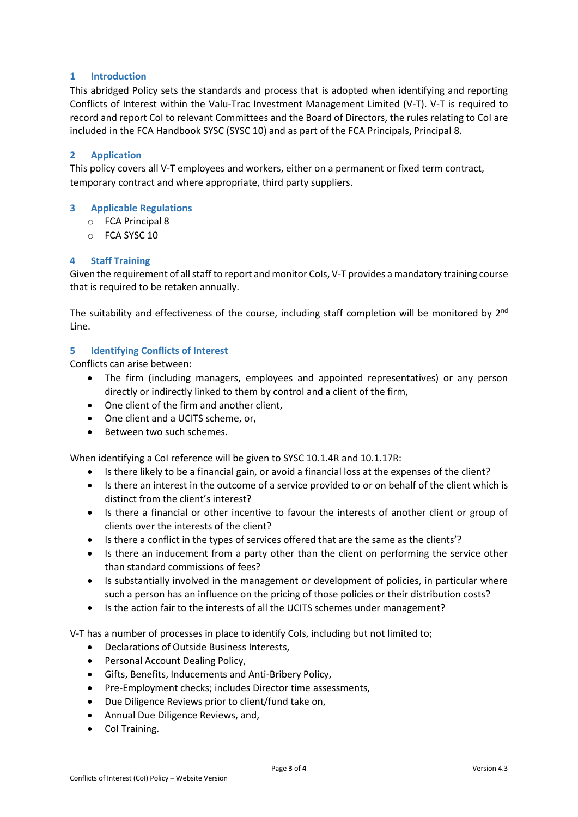#### <span id="page-2-0"></span>**1 Introduction**

This abridged Policy sets the standards and process that is adopted when identifying and reporting Conflicts of Interest within the Valu-Trac Investment Management Limited (V-T). V-T is required to record and report CoI to relevant Committees and the Board of Directors, the rules relating to CoI are included in the FCA Handbook SYSC (SYSC 10) and as part of the FCA Principals, Principal 8.

#### <span id="page-2-1"></span>**2 Application**

This policy covers all V-T employees and workers, either on a permanent or fixed term contract, temporary contract and where appropriate, third party suppliers.

#### <span id="page-2-2"></span>**3 Applicable Regulations**

- o FCA Principal 8
- o FCA SYSC 10

#### <span id="page-2-3"></span>**4 Staff Training**

Given the requirement of all staff to report and monitor CoIs, V-T provides a mandatory training course that is required to be retaken annually.

The suitability and effectiveness of the course, including staff completion will be monitored by  $2^{nd}$ Line.

#### <span id="page-2-4"></span>**5 Identifying Conflicts of Interest**

Conflicts can arise between:

- The firm (including managers, employees and appointed representatives) or any person directly or indirectly linked to them by control and a client of the firm,
- One client of the firm and another client,
- One client and a UCITS scheme, or,
- Between two such schemes.

When identifying a CoI reference will be given to SYSC 10.1.4R and 10.1.17R:

- Is there likely to be a financial gain, or avoid a financial loss at the expenses of the client?
- Is there an interest in the outcome of a service provided to or on behalf of the client which is distinct from the client's interest?
- Is there a financial or other incentive to favour the interests of another client or group of clients over the interests of the client?
- Is there a conflict in the types of services offered that are the same as the clients'?
- Is there an inducement from a party other than the client on performing the service other than standard commissions of fees?
- Is substantially involved in the management or development of policies, in particular where such a person has an influence on the pricing of those policies or their distribution costs?
- Is the action fair to the interests of all the UCITS schemes under management?

V-T has a number of processes in place to identify CoIs, including but not limited to;

- Declarations of Outside Business Interests,
- Personal Account Dealing Policy,
- Gifts, Benefits, Inducements and Anti-Bribery Policy,
- Pre-Employment checks; includes Director time assessments,
- Due Diligence Reviews prior to client/fund take on,
- Annual Due Diligence Reviews, and,
- CoI Training.